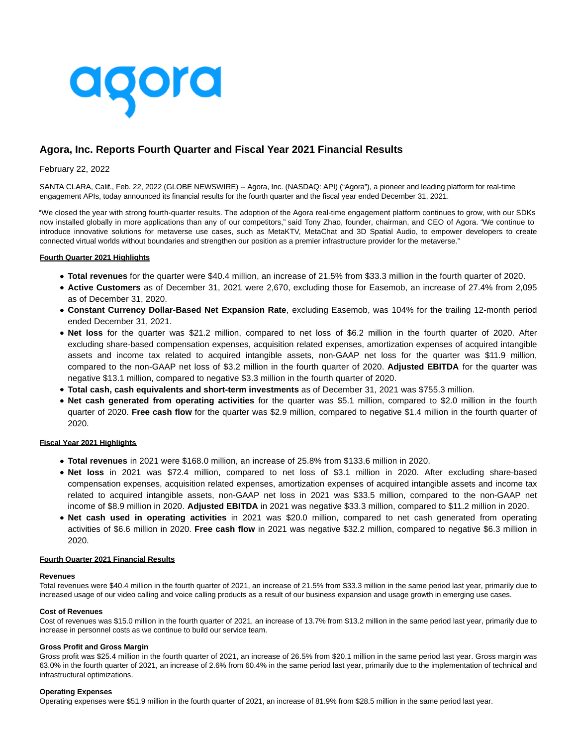

# **Agora, Inc. Reports Fourth Quarter and Fiscal Year 2021 Financial Results**

# February 22, 2022

SANTA CLARA, Calif., Feb. 22, 2022 (GLOBE NEWSWIRE) -- Agora, Inc. (NASDAQ: API) ("Agora"), a pioneer and leading platform for real-time engagement APIs, today announced its financial results for the fourth quarter and the fiscal year ended December 31, 2021.

"We closed the year with strong fourth-quarter results. The adoption of the Agora real-time engagement platform continues to grow, with our SDKs now installed globally in more applications than any of our competitors," said Tony Zhao, founder, chairman, and CEO of Agora. "We continue to introduce innovative solutions for metaverse use cases, such as MetaKTV, MetaChat and 3D Spatial Audio, to empower developers to create connected virtual worlds without boundaries and strengthen our position as a premier infrastructure provider for the metaverse."

# **Fourth Quarter 2021 Highlights**

- **Total revenues** for the quarter were \$40.4 million, an increase of 21.5% from \$33.3 million in the fourth quarter of 2020.
- **Active Customers** as of December 31, 2021 were 2,670, excluding those for Easemob, an increase of 27.4% from 2,095 as of December 31, 2020.
- **Constant Currency Dollar-Based Net Expansion Rate**, excluding Easemob, was 104% for the trailing 12-month period ended December 31, 2021.
- **Net loss** for the quarter was \$21.2 million, compared to net loss of \$6.2 million in the fourth quarter of 2020. After excluding share-based compensation expenses, acquisition related expenses, amortization expenses of acquired intangible assets and income tax related to acquired intangible assets, non-GAAP net loss for the quarter was \$11.9 million, compared to the non-GAAP net loss of \$3.2 million in the fourth quarter of 2020. **Adjusted EBITDA** for the quarter was negative \$13.1 million, compared to negative \$3.3 million in the fourth quarter of 2020.
- **Total cash, cash equivalents and short-term investments** as of December 31, 2021 was \$755.3 million.
- **Net cash generated from operating activities** for the quarter was \$5.1 million, compared to \$2.0 million in the fourth quarter of 2020. **Free cash flow** for the quarter was \$2.9 million, compared to negative \$1.4 million in the fourth quarter of 2020.

# **Fiscal Year 2021 Highlights**

- **Total revenues** in 2021 were \$168.0 million, an increase of 25.8% from \$133.6 million in 2020.
- **Net loss** in 2021 was \$72.4 million, compared to net loss of \$3.1 million in 2020. After excluding share-based compensation expenses, acquisition related expenses, amortization expenses of acquired intangible assets and income tax related to acquired intangible assets, non-GAAP net loss in 2021 was \$33.5 million, compared to the non-GAAP net income of \$8.9 million in 2020. **Adjusted EBITDA** in 2021 was negative \$33.3 million, compared to \$11.2 million in 2020.
- **Net cash used in operating activities** in 2021 was \$20.0 million, compared to net cash generated from operating activities of \$6.6 million in 2020. **Free cash flow** in 2021 was negative \$32.2 million, compared to negative \$6.3 million in 2020.

# **Fourth Quarter 2021 Financial Results**

#### **Revenues**

Total revenues were \$40.4 million in the fourth quarter of 2021, an increase of 21.5% from \$33.3 million in the same period last year, primarily due to increased usage of our video calling and voice calling products as a result of our business expansion and usage growth in emerging use cases.

#### **Cost of Revenues**

Cost of revenues was \$15.0 million in the fourth quarter of 2021, an increase of 13.7% from \$13.2 million in the same period last year, primarily due to increase in personnel costs as we continue to build our service team.

# **Gross Profit and Gross Margin**

Gross profit was \$25.4 million in the fourth quarter of 2021, an increase of 26.5% from \$20.1 million in the same period last year. Gross margin was 63.0% in the fourth quarter of 2021, an increase of 2.6% from 60.4% in the same period last year, primarily due to the implementation of technical and infrastructural optimizations.

# **Operating Expenses**

Operating expenses were \$51.9 million in the fourth quarter of 2021, an increase of 81.9% from \$28.5 million in the same period last year.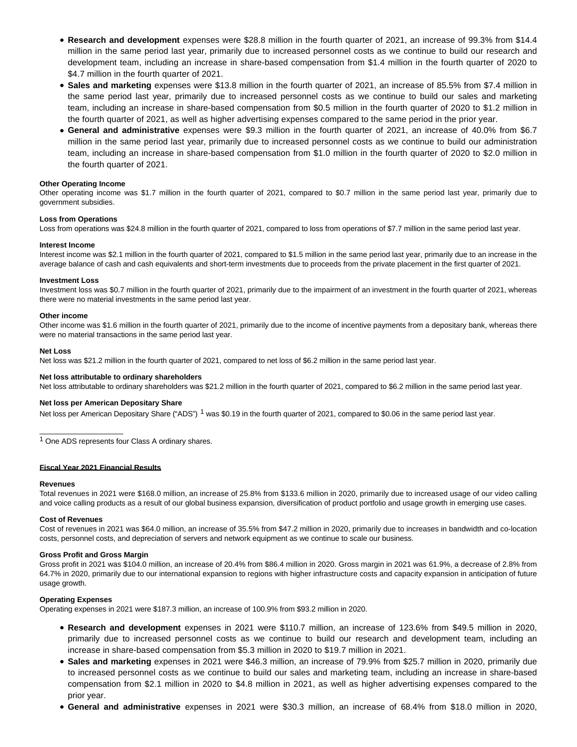- **Research and development** expenses were \$28.8 million in the fourth quarter of 2021, an increase of 99.3% from \$14.4 million in the same period last year, primarily due to increased personnel costs as we continue to build our research and development team, including an increase in share-based compensation from \$1.4 million in the fourth quarter of 2020 to \$4.7 million in the fourth quarter of 2021.
- **Sales and marketing** expenses were \$13.8 million in the fourth quarter of 2021, an increase of 85.5% from \$7.4 million in the same period last year, primarily due to increased personnel costs as we continue to build our sales and marketing team, including an increase in share-based compensation from \$0.5 million in the fourth quarter of 2020 to \$1.2 million in the fourth quarter of 2021, as well as higher advertising expenses compared to the same period in the prior year.
- **General and administrative** expenses were \$9.3 million in the fourth quarter of 2021, an increase of 40.0% from \$6.7 million in the same period last year, primarily due to increased personnel costs as we continue to build our administration team, including an increase in share-based compensation from \$1.0 million in the fourth quarter of 2020 to \$2.0 million in the fourth quarter of 2021.

#### **Other Operating Income**

Other operating income was \$1.7 million in the fourth quarter of 2021, compared to \$0.7 million in the same period last year, primarily due to government subsidies.

# **Loss from Operations**

Loss from operations was \$24.8 million in the fourth quarter of 2021, compared to loss from operations of \$7.7 million in the same period last year.

# **Interest Income**

Interest income was \$2.1 million in the fourth quarter of 2021, compared to \$1.5 million in the same period last year, primarily due to an increase in the average balance of cash and cash equivalents and short-term investments due to proceeds from the private placement in the first quarter of 2021.

#### **Investment Loss**

Investment loss was \$0.7 million in the fourth quarter of 2021, primarily due to the impairment of an investment in the fourth quarter of 2021, whereas there were no material investments in the same period last year.

#### **Other income**

Other income was \$1.6 million in the fourth quarter of 2021, primarily due to the income of incentive payments from a depositary bank, whereas there were no material transactions in the same period last year.

#### **Net Loss**

Net loss was \$21.2 million in the fourth quarter of 2021, compared to net loss of \$6.2 million in the same period last year.

#### **Net loss attributable to ordinary shareholders**

Net loss attributable to ordinary shareholders was \$21.2 million in the fourth quarter of 2021, compared to \$6.2 million in the same period last year.

# **Net loss per American Depositary Share**

Net loss per American Depositary Share ("ADS")<sup>1</sup> was \$0.19 in the fourth quarter of 2021, compared to \$0.06 in the same period last year.

1 One ADS represents four Class A ordinary shares.

#### **Fiscal Year 2021 Financial Results**

 $\overline{\phantom{a}}$  , where  $\overline{\phantom{a}}$  , where  $\overline{\phantom{a}}$ 

#### **Revenues**

Total revenues in 2021 were \$168.0 million, an increase of 25.8% from \$133.6 million in 2020, primarily due to increased usage of our video calling and voice calling products as a result of our global business expansion, diversification of product portfolio and usage growth in emerging use cases.

#### **Cost of Revenues**

Cost of revenues in 2021 was \$64.0 million, an increase of 35.5% from \$47.2 million in 2020, primarily due to increases in bandwidth and co-location costs, personnel costs, and depreciation of servers and network equipment as we continue to scale our business.

# **Gross Profit and Gross Margin**

Gross profit in 2021 was \$104.0 million, an increase of 20.4% from \$86.4 million in 2020. Gross margin in 2021 was 61.9%, a decrease of 2.8% from 64.7% in 2020, primarily due to our international expansion to regions with higher infrastructure costs and capacity expansion in anticipation of future usage growth.

#### **Operating Expenses**

Operating expenses in 2021 were \$187.3 million, an increase of 100.9% from \$93.2 million in 2020.

- **Research and development** expenses in 2021 were \$110.7 million, an increase of 123.6% from \$49.5 million in 2020, primarily due to increased personnel costs as we continue to build our research and development team, including an increase in share-based compensation from \$5.3 million in 2020 to \$19.7 million in 2021.
- **Sales and marketing** expenses in 2021 were \$46.3 million, an increase of 79.9% from \$25.7 million in 2020, primarily due to increased personnel costs as we continue to build our sales and marketing team, including an increase in share-based compensation from \$2.1 million in 2020 to \$4.8 million in 2021, as well as higher advertising expenses compared to the prior year.
- **General and administrative** expenses in 2021 were \$30.3 million, an increase of 68.4% from \$18.0 million in 2020,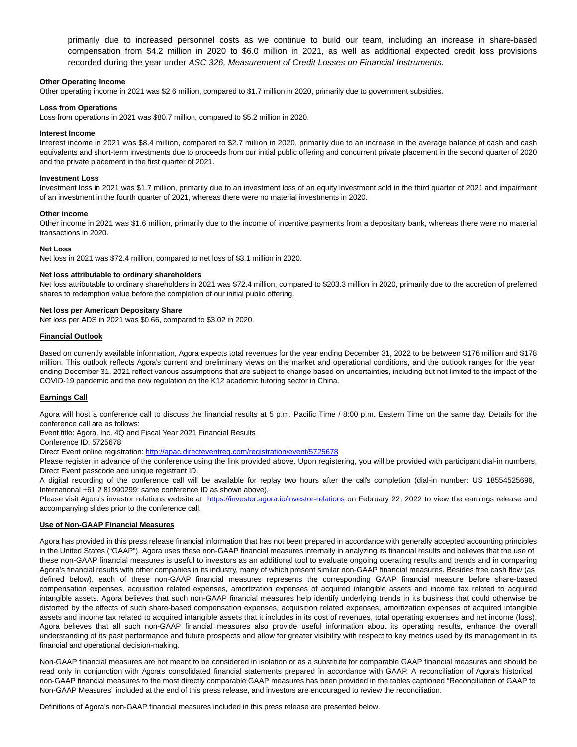primarily due to increased personnel costs as we continue to build our team, including an increase in share-based compensation from \$4.2 million in 2020 to \$6.0 million in 2021, as well as additional expected credit loss provisions recorded during the year under ASC 326, Measurement of Credit Losses on Financial Instruments.

#### **Other Operating Income**

Other operating income in 2021 was \$2.6 million, compared to \$1.7 million in 2020, primarily due to government subsidies.

# **Loss from Operations**

Loss from operations in 2021 was \$80.7 million, compared to \$5.2 million in 2020.

#### **Interest Income**

Interest income in 2021 was \$8.4 million, compared to \$2.7 million in 2020, primarily due to an increase in the average balance of cash and cash equivalents and short-term investments due to proceeds from our initial public offering and concurrent private placement in the second quarter of 2020 and the private placement in the first quarter of 2021.

# **Investment Loss**

Investment loss in 2021 was \$1.7 million, primarily due to an investment loss of an equity investment sold in the third quarter of 2021 and impairment of an investment in the fourth quarter of 2021, whereas there were no material investments in 2020.

# **Other income**

Other income in 2021 was \$1.6 million, primarily due to the income of incentive payments from a depositary bank, whereas there were no material transactions in 2020.

# **Net Loss**

Net loss in 2021 was \$72.4 million, compared to net loss of \$3.1 million in 2020.

# **Net loss attributable to ordinary shareholders**

Net loss attributable to ordinary shareholders in 2021 was \$72.4 million, compared to \$203.3 million in 2020, primarily due to the accretion of preferred shares to redemption value before the completion of our initial public offering.

# **Net loss per American Depositary Share**

Net loss per ADS in 2021 was \$0.66, compared to \$3.02 in 2020.

# **Financial Outlook**

Based on currently available information, Agora expects total revenues for the year ending December 31, 2022 to be between \$176 million and \$178 million. This outlook reflects Agora's current and preliminary views on the market and operational conditions, and the outlook ranges for the year ending December 31, 2021 reflect various assumptions that are subject to change based on uncertainties, including but not limited to the impact of the COVID-19 pandemic and the new regulation on the K12 academic tutoring sector in China.

# **Earnings Call**

Agora will host a conference call to discuss the financial results at 5 p.m. Pacific Time / 8:00 p.m. Eastern Time on the same day. Details for the conference call are as follows:

Event title: Agora, Inc. 4Q and Fiscal Year 2021 Financial Results

Conference ID: 5725678

Direct Event online registration[: http://apac.directeventreg.com/registration/event/5725678](https://www.globenewswire.com/Tracker?data=lD7DGIMeoJ8IAGAphRpKAXo5hZXmdtrVHIFaQZXq_B38XySIRmKBCPChYKOoKWxX0QfahsSwyDISDYqyEe1D-HAUdvt2yvBRbnPEKKhsio4eczhg6N3S_u4WZHkF_a6kXPs37beiBZPukleRfnb7zQE2fMyTfCMaX5bUjqMSMu4yEK4zOujv_lRL3pHtZCu5)

Please register in advance of the conference using the link provided above. Upon registering, you will be provided with participant dial-in numbers, Direct Event passcode and unique registrant ID.

A digital recording of the conference call will be available for replay two hours after the call's completion (dial-in number: US 18554525696, International +61 2 81990299; same conference ID as shown above).

Please visit Agora's investor relations website at [https://investor.agora.io/investor-relations o](https://www.globenewswire.com/Tracker?data=tBHkLkiVgjFJS20ngHowtAvUsDGc0BbkN76FF3MTMF7VIFv_77MtZGavIZvWBgLjGZQxDMgCuW7-A37q44HmIx3eMPeVaI8SwAysl2ZDNlD9QhNp2uwjK30bf-hGyPf1rgJHs5x4IkfPCqszMqUXXg==)n February 22, 2022 to view the earnings release and accompanying slides prior to the conference call.

# **Use of Non-GAAP Financial Measures**

Agora has provided in this press release financial information that has not been prepared in accordance with generally accepted accounting principles in the United States ("GAAP"). Agora uses these non-GAAP financial measures internally in analyzing its financial results and believes that the use of these non-GAAP financial measures is useful to investors as an additional tool to evaluate ongoing operating results and trends and in comparing Agora's financial results with other companies in its industry, many of which present similar non-GAAP financial measures. Besides free cash flow (as defined below), each of these non-GAAP financial measures represents the corresponding GAAP financial measure before share-based compensation expenses, acquisition related expenses, amortization expenses of acquired intangible assets and income tax related to acquired intangible assets. Agora believes that such non-GAAP financial measures help identify underlying trends in its business that could otherwise be distorted by the effects of such share-based compensation expenses, acquisition related expenses, amortization expenses of acquired intangible assets and income tax related to acquired intangible assets that it includes in its cost of revenues, total operating expenses and net income (loss). Agora believes that all such non-GAAP financial measures also provide useful information about its operating results, enhance the overall understanding of its past performance and future prospects and allow for greater visibility with respect to key metrics used by its management in its financial and operational decision-making.

Non-GAAP financial measures are not meant to be considered in isolation or as a substitute for comparable GAAP financial measures and should be read only in conjunction with Agora's consolidated financial statements prepared in accordance with GAAP. A reconciliation of Agora's historical non-GAAP financial measures to the most directly comparable GAAP measures has been provided in the tables captioned "Reconciliation of GAAP to Non-GAAP Measures" included at the end of this press release, and investors are encouraged to review the reconciliation.

Definitions of Agora's non-GAAP financial measures included in this press release are presented below.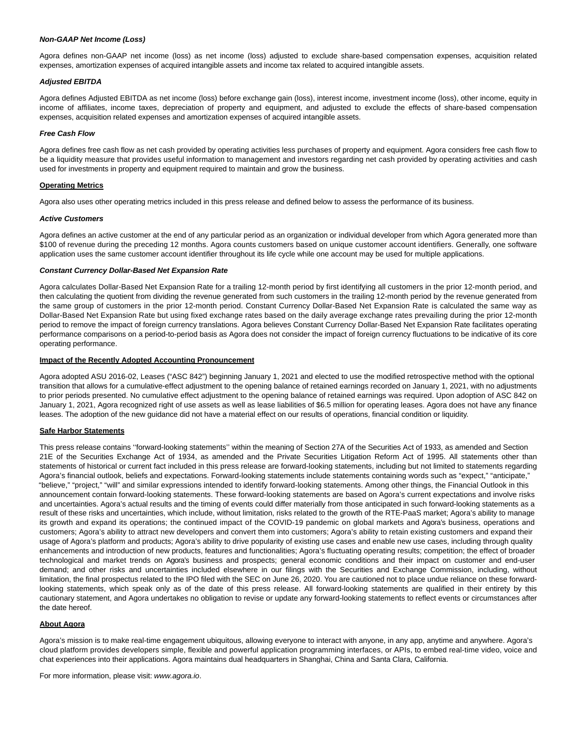#### **Non-GAAP Net Income (Loss)**

Agora defines non-GAAP net income (loss) as net income (loss) adjusted to exclude share-based compensation expenses, acquisition related expenses, amortization expenses of acquired intangible assets and income tax related to acquired intangible assets.

#### **Adjusted EBITDA**

Agora defines Adjusted EBITDA as net income (loss) before exchange gain (loss), interest income, investment income (loss), other income, equity in income of affiliates, income taxes, depreciation of property and equipment, and adjusted to exclude the effects of share-based compensation expenses, acquisition related expenses and amortization expenses of acquired intangible assets.

# **Free Cash Flow**

Agora defines free cash flow as net cash provided by operating activities less purchases of property and equipment. Agora considers free cash flow to be a liquidity measure that provides useful information to management and investors regarding net cash provided by operating activities and cash used for investments in property and equipment required to maintain and grow the business.

# **Operating Metrics**

Agora also uses other operating metrics included in this press release and defined below to assess the performance of its business.

# **Active Customers**

Agora defines an active customer at the end of any particular period as an organization or individual developer from which Agora generated more than \$100 of revenue during the preceding 12 months. Agora counts customers based on unique customer account identifiers. Generally, one software application uses the same customer account identifier throughout its life cycle while one account may be used for multiple applications.

# **Constant Currency Dollar-Based Net Expansion Rate**

Agora calculates Dollar-Based Net Expansion Rate for a trailing 12-month period by first identifying all customers in the prior 12-month period, and then calculating the quotient from dividing the revenue generated from such customers in the trailing 12-month period by the revenue generated from the same group of customers in the prior 12-month period. Constant Currency Dollar-Based Net Expansion Rate is calculated the same way as Dollar-Based Net Expansion Rate but using fixed exchange rates based on the daily average exchange rates prevailing during the prior 12-month period to remove the impact of foreign currency translations. Agora believes Constant Currency Dollar-Based Net Expansion Rate facilitates operating performance comparisons on a period-to-period basis as Agora does not consider the impact of foreign currency fluctuations to be indicative of its core operating performance.

# **Impact of the Recently Adopted Accounting Pronouncement**

Agora adopted ASU 2016-02, Leases ("ASC 842") beginning January 1, 2021 and elected to use the modified retrospective method with the optional transition that allows for a cumulative-effect adjustment to the opening balance of retained earnings recorded on January 1, 2021, with no adjustments to prior periods presented. No cumulative effect adjustment to the opening balance of retained earnings was required. Upon adoption of ASC 842 on January 1, 2021, Agora recognized right of use assets as well as lease liabilities of \$6.5 million for operating leases. Agora does not have any finance leases. The adoption of the new guidance did not have a material effect on our results of operations, financial condition or liquidity.

# **Safe Harbor Statements**

This press release contains ''forward-looking statements'' within the meaning of Section 27A of the Securities Act of 1933, as amended and Section 21E of the Securities Exchange Act of 1934, as amended and the Private Securities Litigation Reform Act of 1995. All statements other than statements of historical or current fact included in this press release are forward-looking statements, including but not limited to statements regarding Agora's financial outlook, beliefs and expectations. Forward-looking statements include statements containing words such as "expect," "anticipate," "believe," "project," "will" and similar expressions intended to identify forward-looking statements. Among other things, the Financial Outlook in this announcement contain forward-looking statements. These forward-looking statements are based on Agora's current expectations and involve risks and uncertainties. Agora's actual results and the timing of events could differ materially from those anticipated in such forward-looking statements as a result of these risks and uncertainties, which include, without limitation, risks related to the growth of the RTE-PaaS market; Agora's ability to manage its growth and expand its operations; the continued impact of the COVID-19 pandemic on global markets and Agora's business, operations and customers; Agora's ability to attract new developers and convert them into customers; Agora's ability to retain existing customers and expand their usage of Agora's platform and products; Agora's ability to drive popularity of existing use cases and enable new use cases, including through quality enhancements and introduction of new products, features and functionalities; Agora's fluctuating operating results; competition; the effect of broader technological and market trends on Agora's business and prospects; general economic conditions and their impact on customer and end-user demand; and other risks and uncertainties included elsewhere in our filings with the Securities and Exchange Commission, including, without limitation, the final prospectus related to the IPO filed with the SEC on June 26, 2020. You are cautioned not to place undue reliance on these forwardlooking statements, which speak only as of the date of this press release. All forward-looking statements are qualified in their entirety by this cautionary statement, and Agora undertakes no obligation to revise or update any forward-looking statements to reflect events or circumstances after the date hereof.

# **About Agora**

Agora's mission is to make real-time engagement ubiquitous, allowing everyone to interact with anyone, in any app, anytime and anywhere. Agora's cloud platform provides developers simple, flexible and powerful application programming interfaces, or APIs, to embed real-time video, voice and chat experiences into their applications. Agora maintains dual headquarters in Shanghai, China and Santa Clara, California.

For more information, please visit: www.agora.io.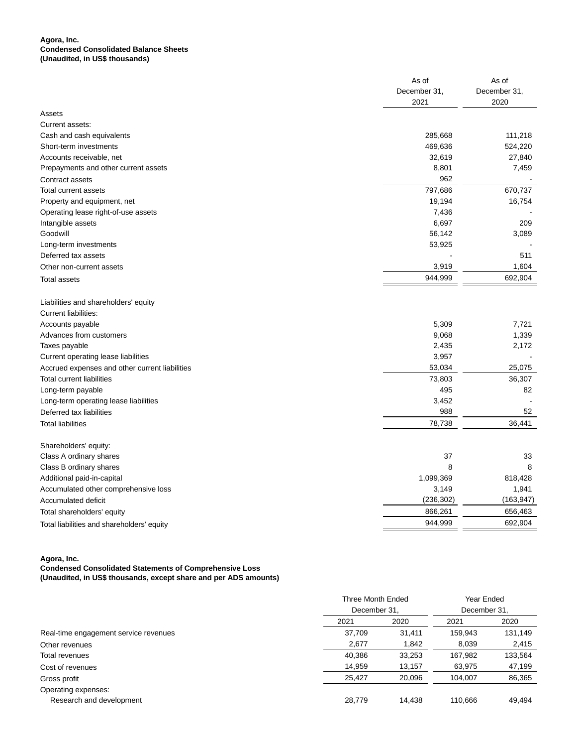# **Agora, Inc. Condensed Consolidated Balance Sheets (Unaudited, in US\$ thousands)**

| December 31,<br>December 31,<br>2021<br>2020<br>Assets<br>Current assets:<br>285,668<br>Cash and cash equivalents<br>469,636<br>Short-term investments<br>32,619<br>Accounts receivable, net<br>8,801<br>Prepayments and other current assets<br>962<br>Contract assets<br>797,686<br>Total current assets<br>Property and equipment, net<br>19,194<br>7,436<br>Operating lease right-of-use assets<br>Intangible assets<br>6,697<br>Goodwill<br>56,142<br>53,925<br>Long-term investments |                     | As of | As of      |
|--------------------------------------------------------------------------------------------------------------------------------------------------------------------------------------------------------------------------------------------------------------------------------------------------------------------------------------------------------------------------------------------------------------------------------------------------------------------------------------------|---------------------|-------|------------|
|                                                                                                                                                                                                                                                                                                                                                                                                                                                                                            |                     |       |            |
|                                                                                                                                                                                                                                                                                                                                                                                                                                                                                            |                     |       |            |
|                                                                                                                                                                                                                                                                                                                                                                                                                                                                                            |                     |       |            |
|                                                                                                                                                                                                                                                                                                                                                                                                                                                                                            |                     |       |            |
|                                                                                                                                                                                                                                                                                                                                                                                                                                                                                            |                     |       | 111,218    |
|                                                                                                                                                                                                                                                                                                                                                                                                                                                                                            |                     |       | 524,220    |
|                                                                                                                                                                                                                                                                                                                                                                                                                                                                                            |                     |       | 27,840     |
|                                                                                                                                                                                                                                                                                                                                                                                                                                                                                            |                     |       | 7,459      |
|                                                                                                                                                                                                                                                                                                                                                                                                                                                                                            |                     |       |            |
|                                                                                                                                                                                                                                                                                                                                                                                                                                                                                            |                     |       | 670,737    |
|                                                                                                                                                                                                                                                                                                                                                                                                                                                                                            |                     |       | 16,754     |
|                                                                                                                                                                                                                                                                                                                                                                                                                                                                                            |                     |       |            |
|                                                                                                                                                                                                                                                                                                                                                                                                                                                                                            |                     |       | 209        |
|                                                                                                                                                                                                                                                                                                                                                                                                                                                                                            |                     |       | 3,089      |
|                                                                                                                                                                                                                                                                                                                                                                                                                                                                                            |                     |       |            |
|                                                                                                                                                                                                                                                                                                                                                                                                                                                                                            | Deferred tax assets |       | 511        |
| 3,919<br>Other non-current assets                                                                                                                                                                                                                                                                                                                                                                                                                                                          |                     |       | 1,604      |
| 944,999<br><b>Total assets</b>                                                                                                                                                                                                                                                                                                                                                                                                                                                             |                     |       | 692,904    |
| Liabilities and shareholders' equity                                                                                                                                                                                                                                                                                                                                                                                                                                                       |                     |       |            |
| <b>Current liabilities:</b>                                                                                                                                                                                                                                                                                                                                                                                                                                                                |                     |       |            |
| 5,309<br>Accounts payable                                                                                                                                                                                                                                                                                                                                                                                                                                                                  |                     |       | 7,721      |
| Advances from customers<br>9,068                                                                                                                                                                                                                                                                                                                                                                                                                                                           |                     |       | 1,339      |
| Taxes payable<br>2,435                                                                                                                                                                                                                                                                                                                                                                                                                                                                     |                     |       | 2,172      |
| Current operating lease liabilities<br>3,957                                                                                                                                                                                                                                                                                                                                                                                                                                               |                     |       |            |
| 53,034<br>Accrued expenses and other current liabilities                                                                                                                                                                                                                                                                                                                                                                                                                                   |                     |       | 25,075     |
| <b>Total current liabilities</b><br>73,803                                                                                                                                                                                                                                                                                                                                                                                                                                                 |                     |       | 36,307     |
| 495<br>Long-term payable                                                                                                                                                                                                                                                                                                                                                                                                                                                                   |                     |       | 82         |
| 3,452<br>Long-term operating lease liabilities                                                                                                                                                                                                                                                                                                                                                                                                                                             |                     |       |            |
| 988<br>Deferred tax liabilities                                                                                                                                                                                                                                                                                                                                                                                                                                                            |                     |       | 52         |
| 78,738<br><b>Total liabilities</b>                                                                                                                                                                                                                                                                                                                                                                                                                                                         |                     |       | 36,441     |
| Shareholders' equity:                                                                                                                                                                                                                                                                                                                                                                                                                                                                      |                     |       |            |
| 37<br>Class A ordinary shares                                                                                                                                                                                                                                                                                                                                                                                                                                                              |                     |       | 33         |
| Class B ordinary shares<br>8                                                                                                                                                                                                                                                                                                                                                                                                                                                               |                     |       | 8          |
| Additional paid-in-capital<br>1,099,369                                                                                                                                                                                                                                                                                                                                                                                                                                                    |                     |       | 818,428    |
| Accumulated other comprehensive loss<br>3,149                                                                                                                                                                                                                                                                                                                                                                                                                                              |                     |       | 1,941      |
| (236, 302)<br>Accumulated deficit                                                                                                                                                                                                                                                                                                                                                                                                                                                          |                     |       | (163, 947) |
| 866,261<br>Total shareholders' equity                                                                                                                                                                                                                                                                                                                                                                                                                                                      |                     |       | 656,463    |
| 944,999<br>Total liabilities and shareholders' equity                                                                                                                                                                                                                                                                                                                                                                                                                                      |                     |       | 692,904    |

#### **Agora, Inc.**

**Condensed Consolidated Statements of Comprehensive Loss (Unaudited, in US\$ thousands, except share and per ADS amounts)**

|                                       | Three Month Ended<br>December 31, |        | Year Ended<br>December 31, |         |
|---------------------------------------|-----------------------------------|--------|----------------------------|---------|
|                                       |                                   |        |                            |         |
|                                       | 2021                              | 2020   | 2021                       | 2020    |
| Real-time engagement service revenues | 37,709                            | 31,411 | 159.943                    | 131,149 |
| Other revenues                        | 2,677                             | 1,842  | 8,039                      | 2,415   |
| Total revenues                        | 40,386                            | 33,253 | 167,982                    | 133,564 |
| Cost of revenues                      | 14,959                            | 13,157 | 63,975                     | 47,199  |
| Gross profit                          | 25,427                            | 20,096 | 104,007                    | 86,365  |
| Operating expenses:                   |                                   |        |                            |         |
| Research and development              | 28.779                            | 14.438 | 110.666                    | 49.494  |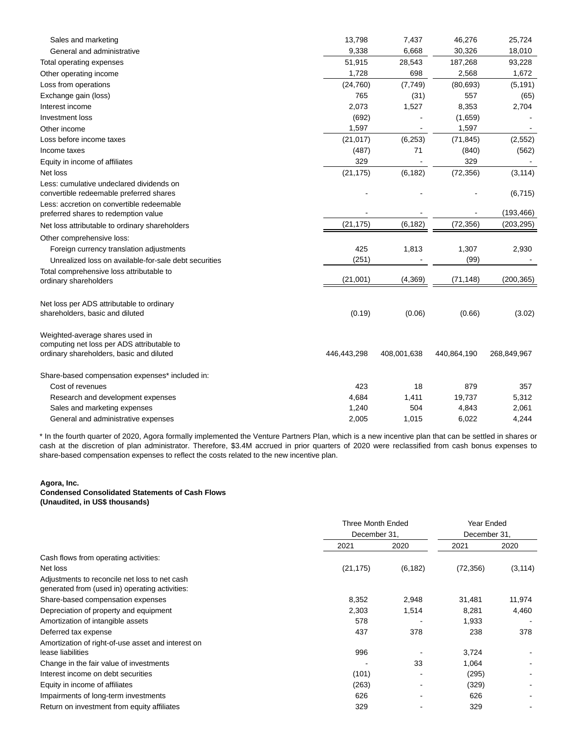| Sales and marketing                                                                                                       | 13,798      | 7,437       | 46,276      | 25,724      |
|---------------------------------------------------------------------------------------------------------------------------|-------------|-------------|-------------|-------------|
| General and administrative                                                                                                | 9,338       | 6,668       | 30,326      | 18,010      |
| Total operating expenses                                                                                                  | 51,915      | 28,543      | 187,268     | 93,228      |
| Other operating income                                                                                                    | 1,728       | 698         | 2,568       | 1,672       |
| Loss from operations                                                                                                      | (24, 760)   | (7, 749)    | (80, 693)   | (5, 191)    |
| Exchange gain (loss)                                                                                                      | 765         | (31)        | 557         | (65)        |
| Interest income                                                                                                           | 2,073       | 1,527       | 8,353       | 2,704       |
| Investment loss                                                                                                           | (692)       |             | (1,659)     |             |
| Other income                                                                                                              | 1,597       |             | 1,597       |             |
| Loss before income taxes                                                                                                  | (21, 017)   | (6, 253)    | (71, 845)   | (2,552)     |
| Income taxes                                                                                                              | (487)       | 71          | (840)       | (562)       |
| Equity in income of affiliates                                                                                            | 329         |             | 329         |             |
| Net loss                                                                                                                  | (21, 175)   | (6, 182)    | (72, 356)   | (3, 114)    |
| Less: cumulative undeclared dividends on<br>convertible redeemable preferred shares                                       |             |             |             | (6, 715)    |
| Less: accretion on convertible redeemable<br>preferred shares to redemption value                                         |             |             |             | (193, 466)  |
| Net loss attributable to ordinary shareholders                                                                            | (21, 175)   | (6, 182)    | (72, 356)   | (203, 295)  |
| Other comprehensive loss:                                                                                                 |             |             |             |             |
| Foreign currency translation adjustments                                                                                  | 425         | 1,813       | 1,307       | 2,930       |
| Unrealized loss on available-for-sale debt securities                                                                     | (251)       |             | (99)        |             |
| Total comprehensive loss attributable to                                                                                  |             |             |             |             |
| ordinary shareholders                                                                                                     | (21,001)    | (4,369)     | (71, 148)   | (200, 365)  |
| Net loss per ADS attributable to ordinary<br>shareholders, basic and diluted                                              | (0.19)      | (0.06)      | (0.66)      | (3.02)      |
| Weighted-average shares used in<br>computing net loss per ADS attributable to<br>ordinary shareholders, basic and diluted | 446,443,298 | 408,001,638 | 440,864,190 | 268,849,967 |
| Share-based compensation expenses* included in:                                                                           |             |             |             |             |
| Cost of revenues                                                                                                          | 423         | 18          | 879         | 357         |
| Research and development expenses                                                                                         | 4,684       | 1,411       | 19,737      | 5,312       |
| Sales and marketing expenses                                                                                              | 1,240       | 504         | 4,843       | 2,061       |
| General and administrative expenses                                                                                       | 2,005       | 1,015       | 6,022       | 4,244       |

\* In the fourth quarter of 2020, Agora formally implemented the Venture Partners Plan, which is a new incentive plan that can be settled in shares or cash at the discretion of plan administrator. Therefore, \$3.4M accrued in prior quarters of 2020 were reclassified from cash bonus expenses to share-based compensation expenses to reflect the costs related to the new incentive plan.

# **Agora, Inc. Condensed Consolidated Statements of Cash Flows (Unaudited, in US\$ thousands)**

|                                                                                                 |           | Three Month Ended<br>December 31, |           | Year Ended<br>December 31. |  |
|-------------------------------------------------------------------------------------------------|-----------|-----------------------------------|-----------|----------------------------|--|
|                                                                                                 | 2021      | 2020                              | 2021      | 2020                       |  |
| Cash flows from operating activities:                                                           |           |                                   |           |                            |  |
| Net loss                                                                                        | (21, 175) | (6, 182)                          | (72, 356) | (3, 114)                   |  |
| Adjustments to reconcile net loss to net cash<br>generated from (used in) operating activities: |           |                                   |           |                            |  |
| Share-based compensation expenses                                                               | 8,352     | 2,948                             | 31,481    | 11,974                     |  |
| Depreciation of property and equipment                                                          | 2,303     | 1,514                             | 8,281     | 4,460                      |  |
| Amortization of intangible assets                                                               | 578       |                                   | 1,933     |                            |  |
| Deferred tax expense                                                                            | 437       | 378                               | 238       | 378                        |  |
| Amortization of right-of-use asset and interest on                                              |           |                                   |           |                            |  |
| lease liabilities                                                                               | 996       |                                   | 3,724     |                            |  |
| Change in the fair value of investments                                                         |           | 33                                | 1,064     |                            |  |
| Interest income on debt securities                                                              | (101)     |                                   | (295)     |                            |  |
| Equity in income of affiliates                                                                  | (263)     | $\qquad \qquad \blacksquare$      | (329)     |                            |  |
| Impairments of long-term investments                                                            | 626       |                                   | 626       |                            |  |
| Return on investment from equity affiliates                                                     | 329       |                                   | 329       |                            |  |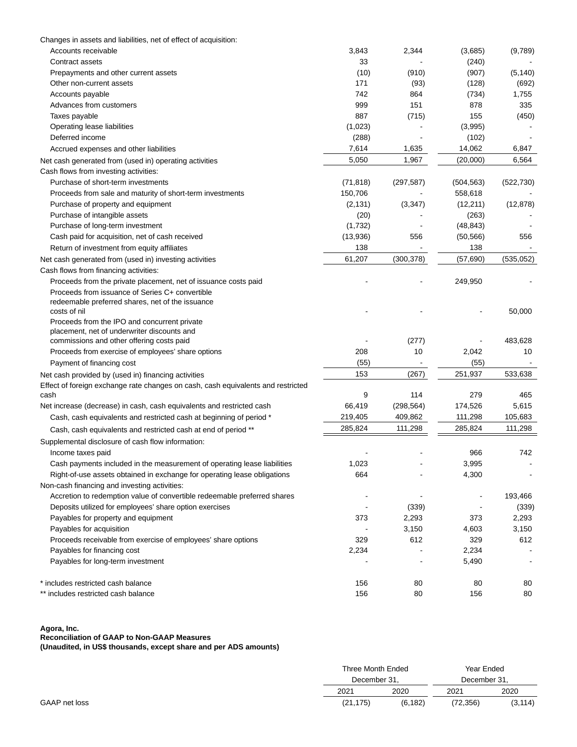| Changes in assets and liabilities, net of effect of acquisition:                         |           |             |            |               |
|------------------------------------------------------------------------------------------|-----------|-------------|------------|---------------|
| Accounts receivable                                                                      | 3,843     | 2,344       | (3,685)    | (9,789)       |
| Contract assets                                                                          | 33        |             | (240)      |               |
| Prepayments and other current assets                                                     | (10)      | (910)       | (907)      | (5, 140)      |
| Other non-current assets                                                                 | 171       | (93)        | (128)      | (692)         |
| Accounts payable                                                                         | 742       | 864         | (734)      | 1,755         |
| Advances from customers                                                                  | 999       | 151         | 878        | 335           |
| Taxes payable                                                                            | 887       | (715)       | 155        | (450)         |
| Operating lease liabilities                                                              | (1,023)   |             | (3,995)    |               |
| Deferred income                                                                          | (288)     |             | (102)      |               |
| Accrued expenses and other liabilities                                                   | 7,614     | 1,635       | 14,062     | 6,847         |
| Net cash generated from (used in) operating activities                                   | 5,050     | 1,967       | (20,000)   | 6,564         |
| Cash flows from investing activities:                                                    |           |             |            |               |
| Purchase of short-term investments                                                       | (71, 818) | (297, 587)  | (504, 563) | (522, 730)    |
| Proceeds from sale and maturity of short-term investments                                | 150,706   |             | 558,618    |               |
| Purchase of property and equipment                                                       | (2, 131)  | (3, 347)    | (12, 211)  | (12, 878)     |
| Purchase of intangible assets                                                            | (20)      |             | (263)      |               |
| Purchase of long-term investment                                                         | (1,732)   |             | (48, 843)  |               |
| Cash paid for acquisition, net of cash received                                          | (13,936)  | 556         | (50, 566)  | 556           |
| Return of investment from equity affiliates                                              | 138       |             | 138        |               |
| Net cash generated from (used in) investing activities                                   | 61,207    | (300, 378)  | (57, 690)  | (535,052)     |
| Cash flows from financing activities:                                                    |           |             |            |               |
| Proceeds from the private placement, net of issuance costs paid                          |           |             | 249,950    |               |
| Proceeds from issuance of Series C+ convertible                                          |           |             |            |               |
| redeemable preferred shares, net of the issuance                                         |           |             |            |               |
| costs of nil                                                                             |           |             |            | 50,000        |
| Proceeds from the IPO and concurrent private                                             |           |             |            |               |
| placement, net of underwriter discounts and                                              |           |             |            |               |
| commissions and other offering costs paid                                                | 208       | (277)<br>10 | 2,042      | 483,628<br>10 |
| Proceeds from exercise of employees' share options                                       |           |             |            |               |
| Payment of financing cost                                                                | (55)      |             | (55)       |               |
| Net cash provided by (used in) financing activities                                      | 153       | (267)       | 251,937    | 533,638       |
| Effect of foreign exchange rate changes on cash, cash equivalents and restricted<br>cash | 9         | 114         | 279        | 465           |
| Net increase (decrease) in cash, cash equivalents and restricted cash                    | 66,419    | (298, 564)  | 174,526    | 5,615         |
| Cash, cash equivalents and restricted cash at beginning of period *                      | 219,405   | 409,862     | 111,298    | 105,683       |
|                                                                                          | 285,824   | 111,298     | 285,824    | 111,298       |
| Cash, cash equivalents and restricted cash at end of period **                           |           |             |            |               |
| Supplemental disclosure of cash flow information:                                        |           |             |            |               |
| Income taxes paid                                                                        |           |             | 966        | 742           |
| Cash payments included in the measurement of operating lease liabilities                 | 1,023     |             | 3,995      |               |
| Right-of-use assets obtained in exchange for operating lease obligations                 | 664       |             | 4,300      |               |
| Non-cash financing and investing activities:                                             |           |             |            |               |
| Accretion to redemption value of convertible redeemable preferred shares                 |           |             |            | 193,466       |
| Deposits utilized for employees' share option exercises                                  |           | (339)       |            | (339)         |
| Payables for property and equipment                                                      | 373       | 2,293       | 373        | 2,293         |
| Payables for acquisition                                                                 |           | 3,150       | 4,603      | 3,150         |
| Proceeds receivable from exercise of employees' share options                            | 329       | 612         | 329        | 612           |
| Payables for financing cost                                                              | 2,234     |             | 2,234      |               |
| Payables for long-term investment                                                        |           |             | 5,490      |               |
| * includes restricted cash balance                                                       | 156       | 80          | 80         | 80            |
| ** includes restricted cash balance                                                      | 156       | 80          | 156        | 80            |

#### **Agora, Inc.**

#### **Reconciliation of GAAP to Non-GAAP Measures**

**(Unaudited, in US\$ thousands, except share and per ADS amounts)**

|           | Three Month Ended |              | Year Ended |  |
|-----------|-------------------|--------------|------------|--|
|           |                   | December 31. |            |  |
| 2021      | 2020              | 2021         | 2020       |  |
| (21, 175) | (6, 182)          | (72, 356)    | (3, 114)   |  |
|           |                   | December 31. |            |  |